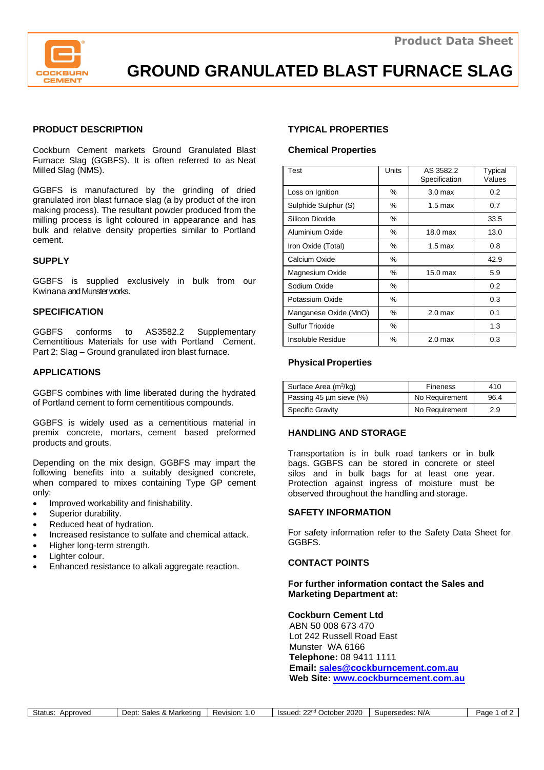

**GROUND GRANULATED BLAST FURNACE SLAG**

## **PRODUCT DESCRIPTION**

Cockburn Cement markets Ground Granulated Blast Furnace Slag (GGBFS). It is often referred to as Neat Milled Slag (NMS).

GGBFS is manufactured by the grinding of dried granulated iron blast furnace slag (a by product of the iron making process). The resultant powder produced from the milling process is light coloured in appearance and has bulk and relative density properties similar to Portland cement.

#### **SUPPLY**

GGBFS is supplied exclusively in bulk from our Kwinana and Munster works.

#### **SPECIFICATION**

GGBFS conforms to AS3582.2 Supplementary Cementitious Materials for use with Portland Cement. Part 2: Slag – Ground granulated iron blast furnace.

## **APPLICATIONS**

GGBFS combines with lime liberated during the hydrated of Portland cement to form cementitious compounds.

GGBFS is widely used as a cementitious material in premix concrete, mortars, cement based preformed products and grouts.

Depending on the mix design, GGBFS may impart the following benefits into a suitably designed concrete, when compared to mixes containing Type GP cement only:

- Improved workability and finishability.
- Superior durability.
- Reduced heat of hydration.
- Increased resistance to sulfate and chemical attack.
- Higher long-term strength.
- Lighter colour.
- Enhanced resistance to alkali aggregate reaction.

## **TYPICAL PROPERTIES**

#### **Chemical Properties**

| Test                  | <b>Units</b> | AS 3582.2<br>Specification | Typical<br>Values |  |
|-----------------------|--------------|----------------------------|-------------------|--|
| Loss on Ignition      | ℅            | 3.0 <sub>max</sub>         | 0.2               |  |
| Sulphide Sulphur (S)  | ℅            | 0.7<br>$1.5 \text{ max}$   |                   |  |
| Silicon Dioxide       | ℅            |                            | 33.5              |  |
| Aluminium Oxide       | ℅            | 18.0 max                   | 13.0              |  |
| Iron Oxide (Total)    | ℅            | $1.5 \text{ max}$          | 0.8               |  |
| Calcium Oxide         | ℅            |                            | 42.9              |  |
| Magnesium Oxide       | ℅            | 15.0 max                   | 5.9               |  |
| Sodium Oxide          | ℅            |                            | 0.2               |  |
| Potassium Oxide       | ℅            |                            | 0.3               |  |
| Manganese Oxide (MnO) | ℅            | 2.0 <sub>max</sub>         | 0.1               |  |
| Sulfur Trioxide       | ℅            |                            | 1.3               |  |
| Insoluble Residue     | %            | 2.0 <sub>max</sub>         | 0.3               |  |

## **Physical Properties**

| Surface Area $(m^2/kg)$ | <b>Fineness</b> | 410  |
|-------------------------|-----------------|------|
| Passing 45 um sieve (%) | No Requirement  | 96.4 |
| <b>Specific Gravity</b> | No Requirement  | 2.9  |

## **HANDLING AND STORAGE**

Transportation is in bulk road tankers or in bulk bags. GGBFS can be stored in concrete or steel silos and in bulk bags for at least one year. Protection against ingress of moisture must be observed throughout the handling and storage.

#### **SAFETY INFORMATION**

For safety information refer to the Safety Data Sheet for GGBFS.

#### **CONTACT POINTS**

**For further information contact the Sales and Marketing Department at:**

**Cockburn Cement Ltd** ABN 50 008 673 470 Lot 242 Russell Road East Munster WA 6166  **Telephone:** 08 9411 1111  **Email: [sales@cockburncement.com.au](mailto:sales@cockburncement.com.au) Web Site: [www.cockburncement.com.au](http://www.cockburncement.com.au/)**